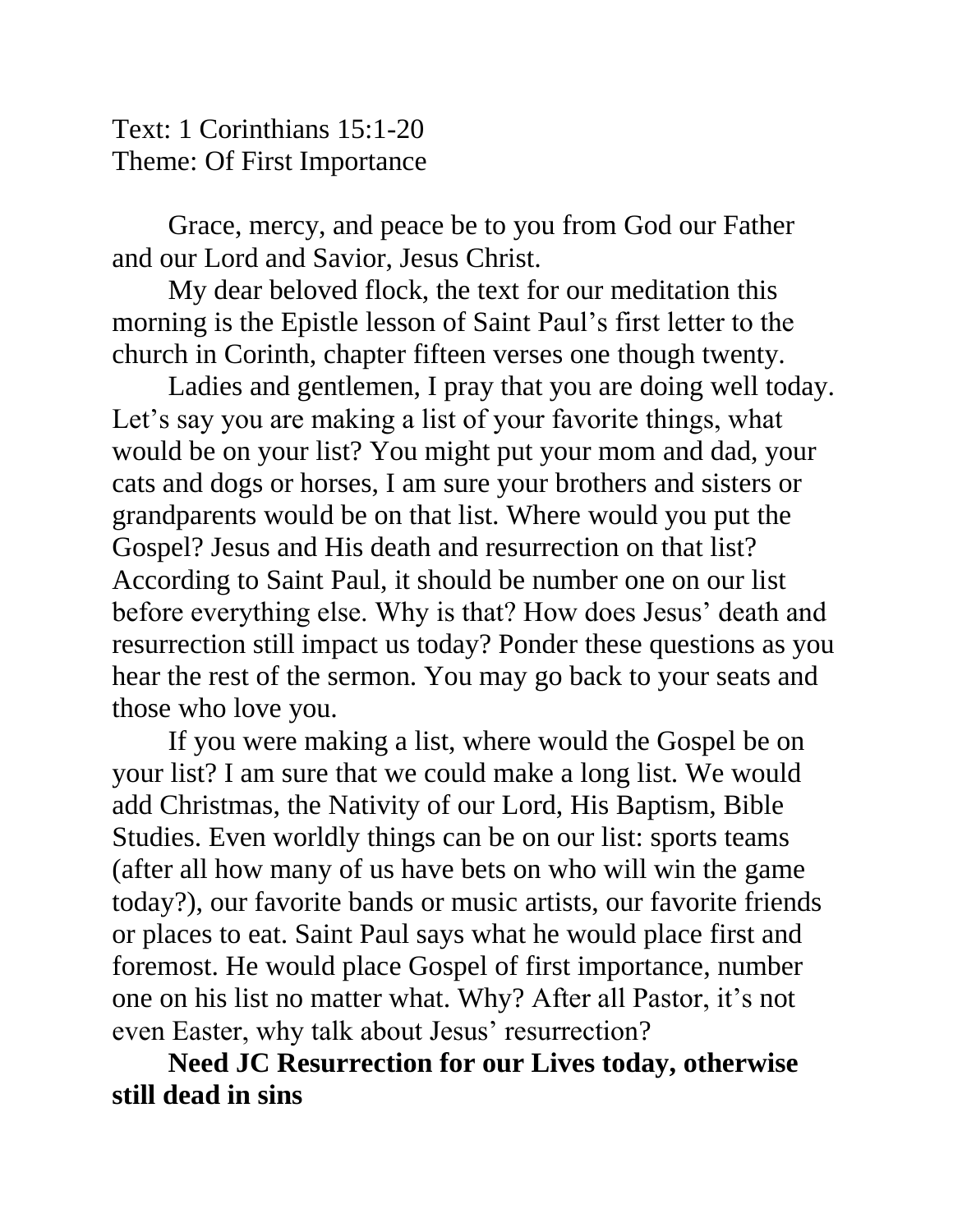Text: 1 Corinthians 15:1-20 Theme: Of First Importance

Grace, mercy, and peace be to you from God our Father and our Lord and Savior, Jesus Christ.

My dear beloved flock, the text for our meditation this morning is the Epistle lesson of Saint Paul's first letter to the church in Corinth, chapter fifteen verses one though twenty.

Ladies and gentlemen, I pray that you are doing well today. Let's say you are making a list of your favorite things, what would be on your list? You might put your mom and dad, your cats and dogs or horses, I am sure your brothers and sisters or grandparents would be on that list. Where would you put the Gospel? Jesus and His death and resurrection on that list? According to Saint Paul, it should be number one on our list before everything else. Why is that? How does Jesus' death and resurrection still impact us today? Ponder these questions as you hear the rest of the sermon. You may go back to your seats and those who love you.

If you were making a list, where would the Gospel be on your list? I am sure that we could make a long list. We would add Christmas, the Nativity of our Lord, His Baptism, Bible Studies. Even worldly things can be on our list: sports teams (after all how many of us have bets on who will win the game today?), our favorite bands or music artists, our favorite friends or places to eat. Saint Paul says what he would place first and foremost. He would place Gospel of first importance, number one on his list no matter what. Why? After all Pastor, it's not even Easter, why talk about Jesus' resurrection?

**Need JC Resurrection for our Lives today, otherwise still dead in sins**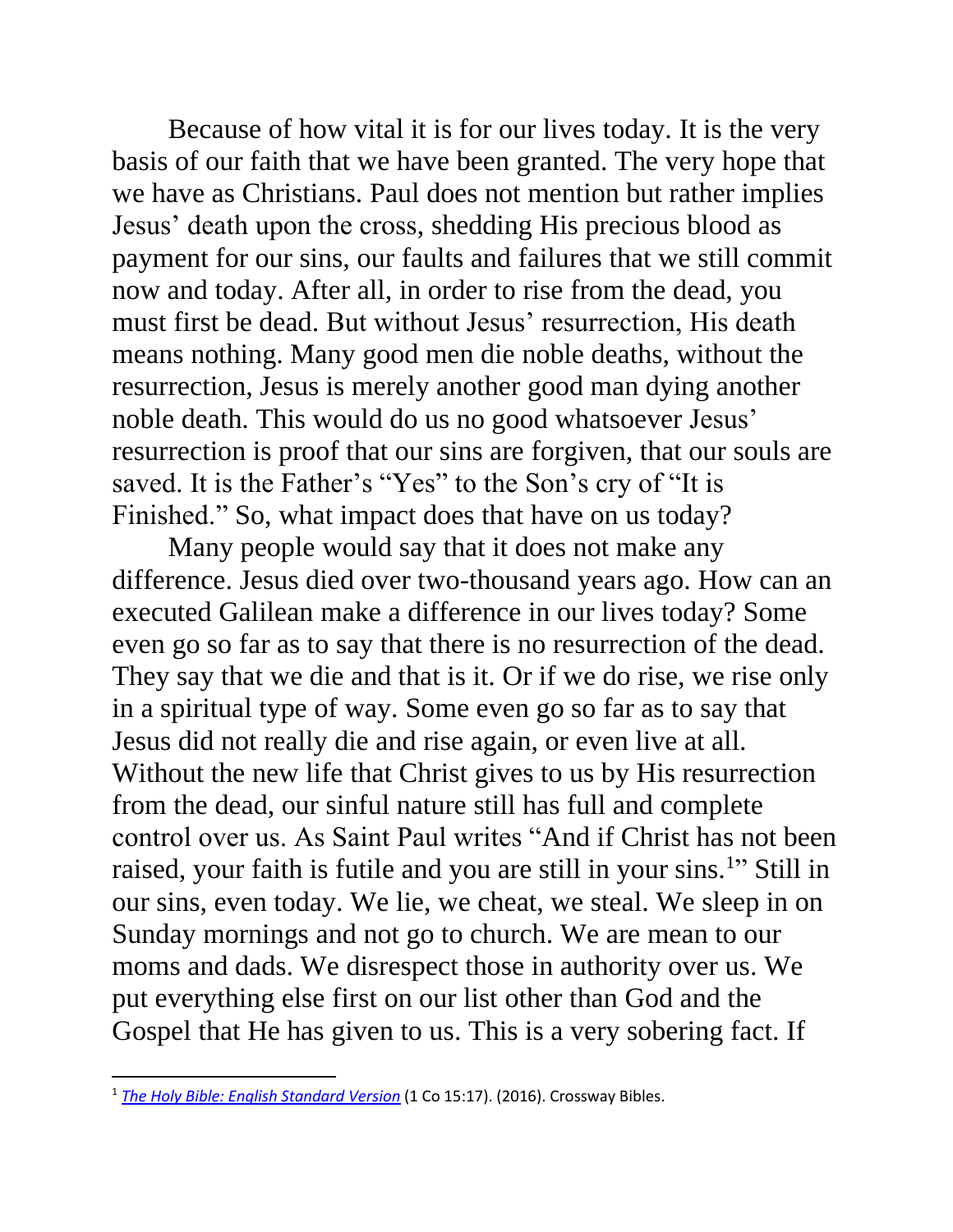Because of how vital it is for our lives today. It is the very basis of our faith that we have been granted. The very hope that we have as Christians. Paul does not mention but rather implies Jesus' death upon the cross, shedding His precious blood as payment for our sins, our faults and failures that we still commit now and today. After all, in order to rise from the dead, you must first be dead. But without Jesus' resurrection, His death means nothing. Many good men die noble deaths, without the resurrection, Jesus is merely another good man dying another noble death. This would do us no good whatsoever Jesus' resurrection is proof that our sins are forgiven, that our souls are saved. It is the Father's "Yes" to the Son's cry of "It is Finished." So, what impact does that have on us today?

Many people would say that it does not make any difference. Jesus died over two-thousand years ago. How can an executed Galilean make a difference in our lives today? Some even go so far as to say that there is no resurrection of the dead. They say that we die and that is it. Or if we do rise, we rise only in a spiritual type of way. Some even go so far as to say that Jesus did not really die and rise again, or even live at all. Without the new life that Christ gives to us by His resurrection from the dead, our sinful nature still has full and complete control over us. As Saint Paul writes "And if Christ has not been raised, your faith is futile and you are still in your sins.<sup>1</sup>" Still in our sins, even today. We lie, we cheat, we steal. We sleep in on Sunday mornings and not go to church. We are mean to our moms and dads. We disrespect those in authority over us. We put everything else first on our list other than God and the Gospel that He has given to us. This is a very sobering fact. If

<sup>&</sup>lt;sup>1</sup> [The Holy Bible: English Standard Version](https://ref.ly/logosres/esv?ref=BibleESV.1Co15.17&off=3&ctx=has+been+raised.+17%C2%A0~And+if+Christ+has+no) (1 Co 15:17). (2016). Crossway Bibles.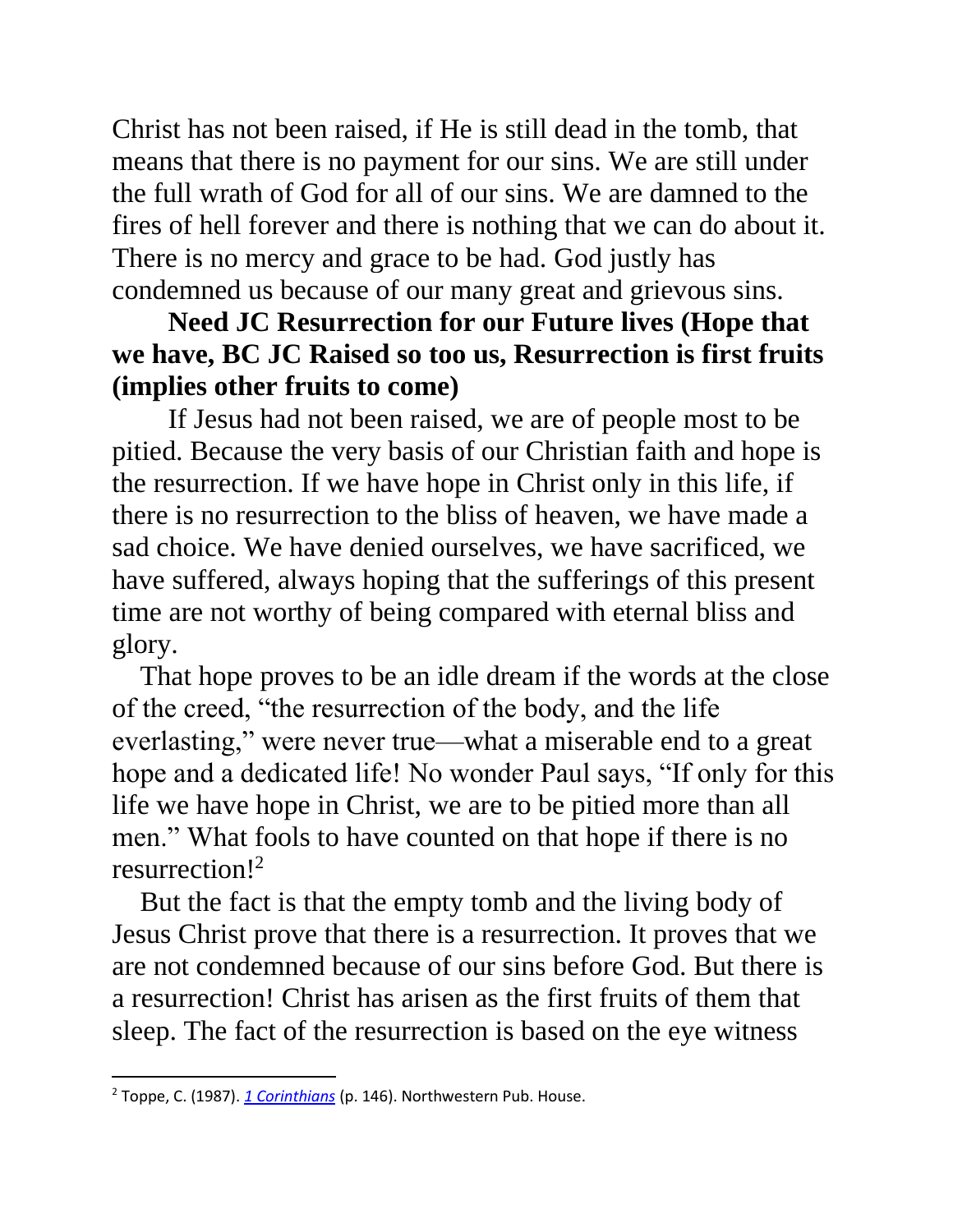Christ has not been raised, if He is still dead in the tomb, that means that there is no payment for our sins. We are still under the full wrath of God for all of our sins. We are damned to the fires of hell forever and there is nothing that we can do about it. There is no mercy and grace to be had. God justly has condemned us because of our many great and grievous sins.

## **Need JC Resurrection for our Future lives (Hope that we have, BC JC Raised so too us, Resurrection is first fruits (implies other fruits to come)**

If Jesus had not been raised, we are of people most to be pitied. Because the very basis of our Christian faith and hope is the resurrection. If we have hope in Christ only in this life, if there is no resurrection to the bliss of heaven, we have made a sad choice. We have denied ourselves, we have sacrificed, we have suffered, always hoping that the sufferings of this present time are not worthy of being compared with eternal bliss and glory.

That hope proves to be an idle dream if the words at the close of the creed, "the resurrection of the body, and the life everlasting," were never true—what a miserable end to a great hope and a dedicated life! No wonder Paul says, "If only for this life we have hope in Christ, we are to be pitied more than all men." What fools to have counted on that hope if there is no resurrection!<sup>2</sup>

But the fact is that the empty tomb and the living body of Jesus Christ prove that there is a resurrection. It proves that we are not condemned because of our sins before God. But there is a resurrection! Christ has arisen as the first fruits of them that sleep. The fact of the resurrection is based on the eye witness

<sup>2</sup> Toppe, C. (1987). *[1 Corinthians](https://ref.ly/logosres/pb67co1?ref=Bible.1Co15.12-19&off=3200&ctx=n+on+a+tragic+note.+~If+Christians+have+h)* (p. 146). Northwestern Pub. House.